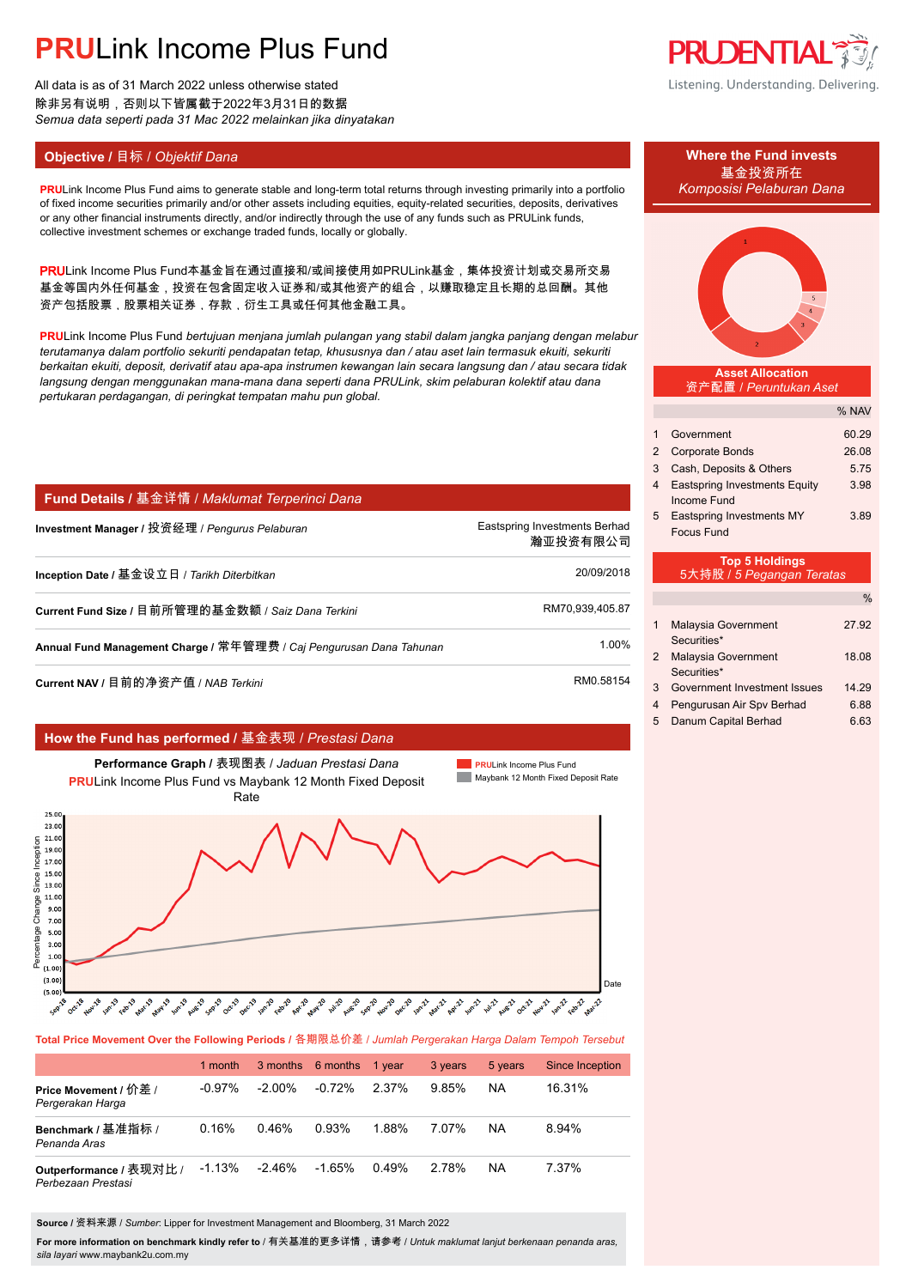All data is as of 31 March 2022 unless otherwise stated 除非另有说明,否则以下皆属截于2022年3月31日的数据 *Semua data seperti pada 31 Mac 2022 melainkan jika dinyatakan*

### **Objective / 目标 /** *Objektif Dana* **<b>Where the Fund invests Where the Fund invests**

**PRULink Income Plus Fund aims to generate stable and long-term total returns through investing primarily into a portfolio** of fixed income securities primarily and/or other assets including equities, equity-related securities, deposits, derivatives or any other financial instruments directly, and/or indirectly through the use of any funds such as PRULink funds, collective investment schemes or exchange traded funds, locally or globally.

PRULink Income Plus Fund本基金旨在通过直接和/或间接使用如PRULink基金,集体投资计划或交易所交易 基金等国内外任何基金,投资在包含固定收入证券和/或其他资产的组合,以赚取稳定且长期的总回酬。其他 资产包括股票,股票相关证券,存款,衍生工具或任何其他金融工具。

**PRU**Link Income Plus Fund *bertujuan menjana jumlah pulangan yang stabil dalam jangka panjang dengan melabur terutamanya dalam portfolio sekuriti pendapatan tetap, khususnya dan / atau aset lain termasuk ekuiti, sekuriti berkaitan ekuiti, deposit, derivatif atau apa-apa instrumen kewangan lain secara langsung dan / atau secara tidak langsung dengan menggunakan mana-mana dana seperti dana PRULink, skim pelaburan kolektif atau dana pertukaran perdagangan, di peringkat tempatan mahu pun global.*

### **Fund Details /** 基金详情 / *Maklumat Terperinci Dana*

| Investment Manager / 投资经理 / <i>Penqurus Pelaburan</i>               | Eastspring Investments Berhad<br>瀚亚投资有限公司 |
|---------------------------------------------------------------------|-------------------------------------------|
| Inception Date / 基金设立日 / Tarikh Diterbitkan                         | 20/09/2018                                |
| Current Fund Size / 目前所管理的基金数额 / Saiz Dana Terkini                  | RM70,939,405.87                           |
| Annual Fund Management Charge / 常年管理费 / Caj Pengurusan Dana Tahunan | 1.00%                                     |
| Current NAV / 目前的净资产值 / NAB <i>Terkini</i>                          | RM0.58154                                 |

### **How the Fund has performed /** 基金表现 / *Prestasi Dana*



**Total Price Movement Over the Following Periods /** 各期限总价差 / *Jumlah Pergerakan Harga Dalam Tempoh Tersebut*

|                                               | 1 month   |           | 3 months 6 months 1 year |       | 3 years | 5 years | <b>Since Inception</b> |
|-----------------------------------------------|-----------|-----------|--------------------------|-------|---------|---------|------------------------|
| Price Movement / 价差 /<br>Pergerakan Harga     | $-0.97\%$ | $-2.00\%$ | $-0.72%$                 | 2.37% | 9.85%   | NA      | 16.31%                 |
| Benchmark / 基准指标 /<br>Penanda Aras            | 0.16%     | 0.46%     | 0.93%                    | 1.88% | 7.07%   | NA      | 8.94%                  |
| Outperformance / 表现对比 /<br>Perbezaan Prestasi | $-1.13%$  | $-2.46\%$ | $-1.65%$                 | 0.49% | 2.78%   | NA      | 7.37%                  |

**Source /** 资料来源 / *Sumber*: Lipper for Investment Management and Bloomberg, 31 March 2022

**For more information on benchmark kindly refer to** / 有关基准的更多详情,请参考 / *Untuk maklumat lanjut berkenaan penanda aras, sila layari* www.maybank2u.com.my

**PRUDENTIAL** Listening. Understanding. Delivering.

# 基金投资所在



#### **Asset Allocation** 资产配置 / *Peruntukan Aset*

|                                      | % NAV                                              |  |  |  |  |
|--------------------------------------|----------------------------------------------------|--|--|--|--|
| Government                           | 60.29                                              |  |  |  |  |
| <b>Corporate Bonds</b>               | 26.08                                              |  |  |  |  |
| Cash, Deposits & Others              | 5.75                                               |  |  |  |  |
| <b>Eastspring Investments Equity</b> | 3.98                                               |  |  |  |  |
| Income Fund                          |                                                    |  |  |  |  |
| Eastspring Investments MY            | 3.89                                               |  |  |  |  |
| Focus Fund                           |                                                    |  |  |  |  |
|                                      |                                                    |  |  |  |  |
|                                      |                                                    |  |  |  |  |
|                                      | <b>Top 5 Holdings</b><br>5大持股 / 5 Pegangan Teratas |  |  |  |  |

### 5大持股 / *5 Pegangan Teratas*

| 1 | Malaysia Government<br>Securities*        | 27.92 |
|---|-------------------------------------------|-------|
| 2 | <b>Malaysia Government</b><br>Securities* | 18.08 |
| 3 | Government Investment Issues              | 14 29 |
| 4 | Pengurusan Air Spv Berhad                 | 6.88  |
| 5 | Danum Capital Berhad                      | 6.63  |
|   |                                           |       |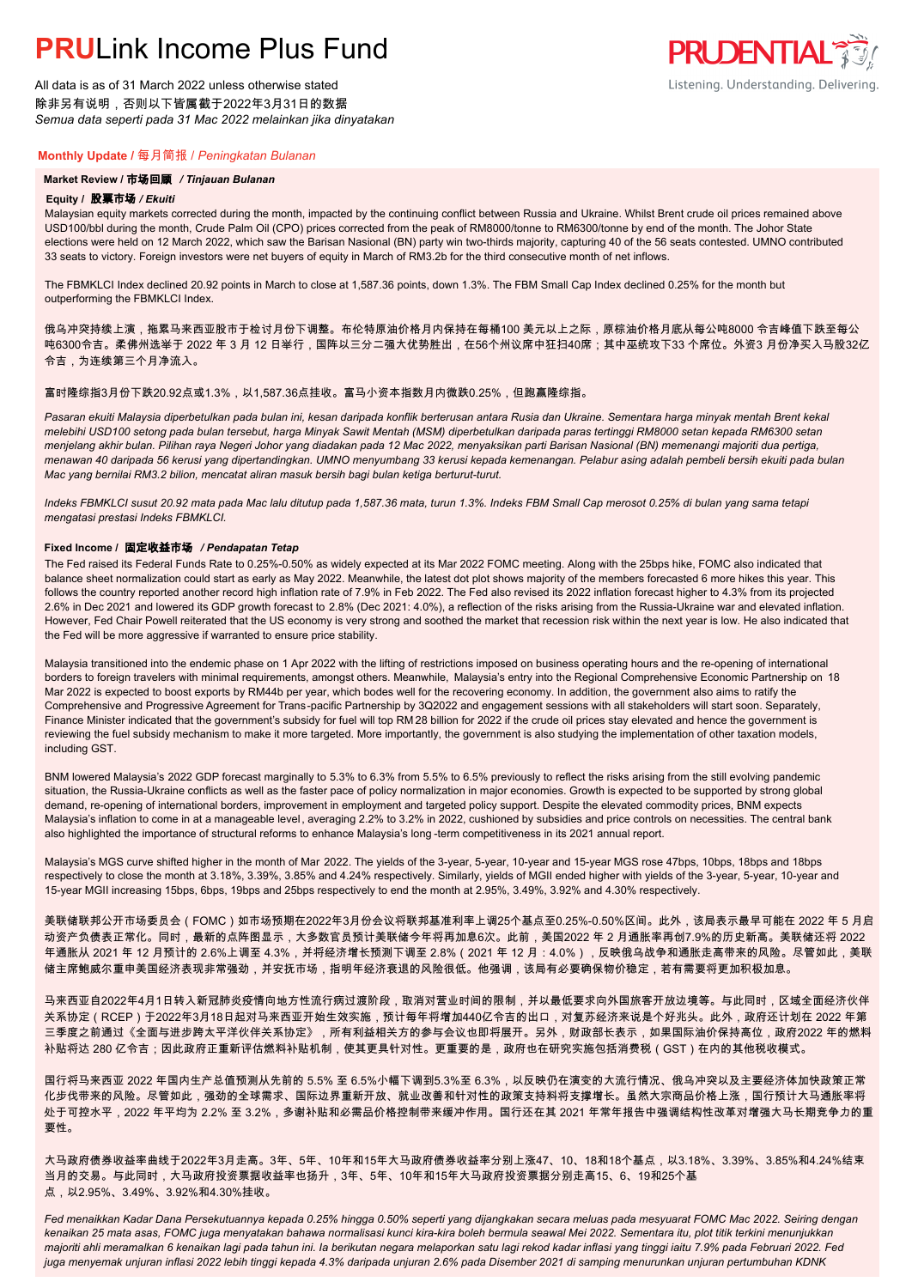All data is as of 31 March 2022 unless otherwise stated 除非另有说明,否则以下皆属截于2022年3月31日的数据 *Semua data seperti pada 31 Mac 2022 melainkan jika dinyatakan*

### **Monthly Update /** 每月简报 / *Peningkatan Bulanan*

### **Market Review /** 市场回顾 */ Tinjauan Bulanan*

#### **Equity /** 股票市场 */ Ekuiti.*

Malaysian equity markets corrected during the month, impacted by the continuing conflict between Russia and Ukraine. Whilst Brent crude oil prices remained above USD100/bbl during the month, Crude Palm Oil (CPO) prices corrected from the peak of RM8000/tonne to RM6300/tonne by end of the month. The Johor State elections were held on 12 March 2022, which saw the Barisan Nasional (BN) party win two-thirds majority, capturing 40 of the 56 seats contested. UMNO contributed 33 seats to victory. Foreign investors were net buyers of equity in March of RM3.2b for the third consecutive month of net inflows.

The FBMKLCI Index declined 20.92 points in March to close at 1,587.36 points, down 1.3%. The FBM Small Cap Index declined 0.25% for the month but outperforming the FBMKLCI Index.

俄乌冲突持续上演,拖累马来西亚股市于检讨月份下调整。布伦特原油价格月内保持在每桶100 美元以上之际,原棕油价格月底从每公吨8000 令吉峰值下跌至每公 吨6300令吉。柔佛州选举于 2022 年 3 月 12 日举行,国阵以三分二强大优势胜出,在56个州议席中狂扫40席;其中巫统攻下33 个席位。外资3 月份净买入马股32亿 令吉,为连续第三个月净流入。

### 富时隆综指3月份下跌20.92点或1.3%,以1,587.36点挂收。富马小资本指数月内微跌0.25%,但跑赢隆综指。

*Pasaran ekuiti Malaysia diperbetulkan pada bulan ini, kesan daripada konflik berterusan antara Rusia dan Ukraine. Sementara harga minyak mentah Brent kekal melebihi USD100 setong pada bulan tersebut, harga Minyak Sawit Mentah (MSM) diperbetulkan daripada paras tertinggi RM8000 setan kepada RM6300 setan menjelang akhir bulan. Pilihan raya Negeri Johor yang diadakan pada 12 Mac 2022, menyaksikan parti Barisan Nasional (BN) memenangi majoriti dua pertiga, menawan 40 daripada 56 kerusi yang dipertandingkan. UMNO menyumbang 33 kerusi kepada kemenangan. Pelabur asing adalah pembeli bersih ekuiti pada bulan Mac yang bernilai RM3.2 bilion, mencatat aliran masuk bersih bagi bulan ketiga berturut-turut.*

*Indeks FBMKLCI susut 20.92 mata pada Mac lalu ditutup pada 1,587.36 mata, turun 1.3%. Indeks FBM Small Cap merosot 0.25% di bulan yang sama tetapi mengatasi prestasi Indeks FBMKLCI.*

### **Fixed Income /** 固定收益市场 */ Pendapatan Tetap*

*.* The Fed raised its Federal Funds Rate to 0.25%-0.50% as widely expected at its Mar 2022 FOMC meeting. Along with the 25bps hike, FOMC also indicated that balance sheet normalization could start as early as May 2022. Meanwhile, the latest dot plot shows majority of the members forecasted 6 more hikes this year. This follows the country reported another record high inflation rate of 7.9% in Feb 2022. The Fed also revised its 2022 inflation forecast higher to 4.3% from its projected 2.6% in Dec 2021 and lowered its GDP growth forecast to 2.8% (Dec 2021: 4.0%), a reflection of the risks arising from the Russia-Ukraine war and elevated inflation. However, Fed Chair Powell reiterated that the US economy is very strong and soothed the market that recession risk within the next year is low. He also indicated that the Fed will be more aggressive if warranted to ensure price stability.

Malaysia transitioned into the endemic phase on 1 Apr 2022 with the lifting of restrictions imposed on business operating hours and the re-opening of international borders to foreign travelers with minimal requirements, amongst others. Meanwhile, Malaysia's entry into the Regional Comprehensive Economic Partnership on 18 Mar 2022 is expected to boost exports by RM44b per year, which bodes well for the recovering economy. In addition, the government also aims to ratify the Comprehensive and Progressive Agreement for Trans-pacific Partnership by 3Q2022 and engagement sessions with all stakeholders will start soon. Separately, Finance Minister indicated that the government's subsidy for fuel will top RM 28 billion for 2022 if the crude oil prices stay elevated and hence the government is reviewing the fuel subsidy mechanism to make it more targeted. More importantly, the government is also studying the implementation of other taxation models, including GST.

BNM lowered Malaysia's 2022 GDP forecast marginally to 5.3% to 6.3% from 5.5% to 6.5% previously to reflect the risks arising from the still evolving pandemic situation, the Russia-Ukraine conflicts as well as the faster pace of policy normalization in major economies. Growth is expected to be supported by strong global demand, re-opening of international borders, improvement in employment and targeted policy support. Despite the elevated commodity prices, BNM expects Malaysia's inflation to come in at a manageable level, averaging 2.2% to 3.2% in 2022, cushioned by subsidies and price controls on necessities. The central bank also highlighted the importance of structural reforms to enhance Malaysia's long -term competitiveness in its 2021 annual report.

Malaysia's MGS curve shifted higher in the month of Mar 2022. The yields of the 3-year, 5-year, 10-year and 15-year MGS rose 47bps, 10bps, 18bps and 18bps respectively to close the month at 3.18%, 3.39%, 3.85% and 4.24% respectively. Similarly, yields of MGII ended higher with yields of the 3-year, 5-year, 10-year and 15-year MGII increasing 15bps, 6bps, 19bps and 25bps respectively to end the month at 2.95%, 3.49%, 3.92% and 4.30% respectively.

美联储联邦公开市场委员会(FOMC)如市场预期在2022年3月份会议将联邦基准利率上调25个基点至0.25%-0.50%区间。此外,该局表示最早可能在 2022 年 5 月启 动资产负债表正常化。同时,最新的点阵图显示,大多数官员预计美联储今年将再加息6次。此前,美国2022 年 2 月通胀率再创7.9%的历史新高。美联储还将 2022 年通胀从 2021 年 12 月预计的 2.6%上调至 4.3%,并将经济增长预测下调至 2.8%(2021 年 12 月:4.0%),反映俄乌战争和通胀走高带来的风险。尽管如此,美联 储主席鲍威尔重申美国经济表现非常强劲,并安抚市场,指明年经济衰退的风险很低。他强调,该局有必要确保物价稳定,若有需要将更加积极加息。

马来西亚自2022年4月1日转入新冠肺炎疫情向地方性流行病过渡阶段,取消对营业时间的限制,并以最低要求向外国旅客开放边境等。与此同时,区域全面经济伙伴 关系协定(RCEP)于2022年3月18日起对马来西亚开始生效实施,预计每年将增加440亿令吉的出口,对复苏经济来说是个好兆头。此外,政府还计划在 2022 年第 三季度之前通过《全面与进步跨太平洋伙伴关系协定》,所有利益相关方的参与会议也即将展开。另外,财政部长表示,如果国际油价保持高位,政府2022 年的燃料 补贴将达 280 亿令吉;因此政府正重新评估燃料补贴机制,使其更具针对性。更重要的是,政府也在研究实施包括消费税(GST)在内的其他税收模式。

国行将马来西亚 2022 年国内生产总值预测从先前的 5.5% 至 6.5%小幅下调到5.3%至 6.3%,以反映仍在演变的大流行情况、俄乌冲突以及主要经济体加快政策正常 化步伐带来的风险。尽管如此,强劲的全球需求、国际边界重新开放、就业改善和针对性的政策支持料将支撑增长。虽然大宗商品价格上涨,国行预计大马通胀率将 处于可控水平,2022 年平均为 2.2% 至 3.2%,多谢补贴和必需品价格控制带来缓冲作用。国行还在其 2021 年常年报告中强调结构性改革对增强大马长期竞争力的重 要性。

大马政府债券收益率曲线于2022年3月走高。3年、5年、10年和15年大马政府债券收益率分别上涨47、10、18和18个基点,以3.18%、3.39%、3.85%和4.24%结束 当月的交易。与此同时,大马政府投资票据收益率也扬升,3年、5年、10年和15年大马政府投资票据分别走高15、6、19和25个基 点,以2.95%、3.49%、3.92%和4.30%挂收。

*Fed menaikkan Kadar Dana Persekutuannya kepada 0.25% hingga 0.50% seperti yang dijangkakan secara meluas pada mesyuarat FOMC Mac 2022. Seiring dengan kenaikan 25 mata asas, FOMC juga menyatakan bahawa normalisasi kunci kira-kira boleh bermula seawal Mei 2022. Sementara itu, plot titik terkini menunjukkan majoriti ahli meramalkan 6 kenaikan lagi pada tahun ini. Ia berikutan negara melaporkan satu lagi rekod kadar inflasi yang tinggi iaitu 7.9% pada Februari 2022. Fed juga menyemak unjuran inflasi 2022 lebih tinggi kepada 4.3% daripada unjuran 2.6% pada Disember 2021 di samping menurunkan unjuran pertumbuhan KDNK* 

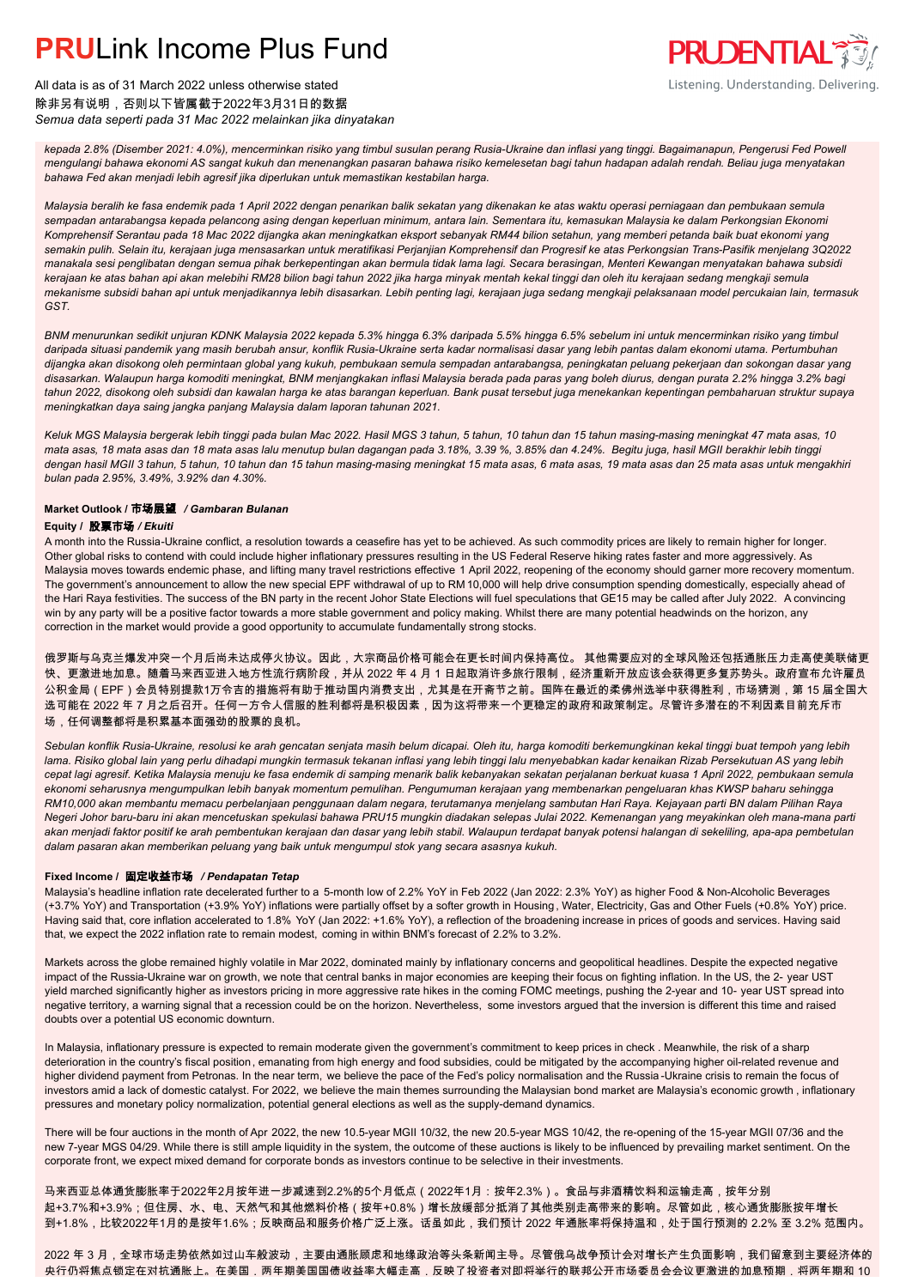

All data is as of 31 March 2022 unless otherwise stated 除非另有说明,否则以下皆属截于2022年3月31日的数据 *Semua data seperti pada 31 Mac 2022 melainkan jika dinyatakan*

*kepada 2.8% (Disember 2021: 4.0%), mencerminkan risiko yang timbul susulan perang Rusia-Ukraine dan inflasi yang tinggi. Bagaimanapun, Pengerusi Fed Powell mengulangi bahawa ekonomi AS sangat kukuh dan menenangkan pasaran bahawa risiko kemelesetan bagi tahun hadapan adalah rendah. Beliau juga menyatakan bahawa Fed akan menjadi lebih agresif jika diperlukan untuk memastikan kestabilan harga.*

*Malaysia beralih ke fasa endemik pada 1 April 2022 dengan penarikan balik sekatan yang dikenakan ke atas waktu operasi perniagaan dan pembukaan semula sempadan antarabangsa kepada pelancong asing dengan keperluan minimum, antara lain. Sementara itu, kemasukan Malaysia ke dalam Perkongsian Ekonomi Komprehensif Serantau pada 18 Mac 2022 dijangka akan meningkatkan eksport sebanyak RM44 bilion setahun, yang memberi petanda baik buat ekonomi yang semakin pulih. Selain itu, kerajaan juga mensasarkan untuk meratifikasi Perjanjian Komprehensif dan Progresif ke atas Perkongsian Trans-Pasifik menjelang 3Q2022 manakala sesi penglibatan dengan semua pihak berkepentingan akan bermula tidak lama lagi. Secara berasingan, Menteri Kewangan menyatakan bahawa subsidi kerajaan ke atas bahan api akan melebihi RM28 bilion bagi tahun 2022 jika harga minyak mentah kekal tinggi dan oleh itu kerajaan sedang mengkaji semula mekanisme subsidi bahan api untuk menjadikannya lebih disasarkan. Lebih penting lagi, kerajaan juga sedang mengkaji pelaksanaan model percukaian lain, termasuk GST.*

*BNM menurunkan sedikit unjuran KDNK Malaysia 2022 kepada 5.3% hingga 6.3% daripada 5.5% hingga 6.5% sebelum ini untuk mencerminkan risiko yang timbul daripada situasi pandemik yang masih berubah ansur, konflik Rusia-Ukraine serta kadar normalisasi dasar yang lebih pantas dalam ekonomi utama. Pertumbuhan dijangka akan disokong oleh permintaan global yang kukuh, pembukaan semula sempadan antarabangsa, peningkatan peluang pekerjaan dan sokongan dasar yang disasarkan. Walaupun harga komoditi meningkat, BNM menjangkakan inflasi Malaysia berada pada paras yang boleh diurus, dengan purata 2.2% hingga 3.2% bagi tahun 2022, disokong oleh subsidi dan kawalan harga ke atas barangan keperluan. Bank pusat tersebut juga menekankan kepentingan pembaharuan struktur supaya meningkatkan daya saing jangka panjang Malaysia dalam laporan tahunan 2021.*

*Keluk MGS Malaysia bergerak lebih tinggi pada bulan Mac 2022. Hasil MGS 3 tahun, 5 tahun, 10 tahun dan 15 tahun masing-masing meningkat 47 mata asas, 10 mata asas, 18 mata asas dan 18 mata asas lalu menutup bulan dagangan pada 3.18%, 3.39 %, 3.85% dan 4.24%. Begitu juga, hasil MGII berakhir lebih tinggi dengan hasil MGII 3 tahun, 5 tahun, 10 tahun dan 15 tahun masing-masing meningkat 15 mata asas, 6 mata asas, 19 mata asas dan 25 mata asas untuk mengakhiri bulan pada 2.95%, 3.49%, 3.92% dan 4.30%.*

### **Market Outlook /** 市场展望 */ Gambaran Bulanan*

### **Equity /** 股票市场 */ Ekuiti*

A month into the Russia-Ukraine conflict, a resolution towards a ceasefire has yet to be achieved. As such commodity prices are likely to remain higher for longer. Other global risks to contend with could include higher inflationary pressures resulting in the US Federal Reserve hiking rates faster and more aggressively. As Malaysia moves towards endemic phase, and lifting many travel restrictions effective 1 April 2022, reopening of the economy should garner more recovery momentum. The government's announcement to allow the new special EPF withdrawal of up to RM 10,000 will help drive consumption spending domestically, especially ahead of the Hari Raya festivities. The success of the BN party in the recent Johor State Elections will fuel speculations that GE15 may be called after July 2022. A convincing win by any party will be a positive factor towards a more stable government and policy making. Whilst there are many potential headwinds on the horizon, any correction in the market would provide a good opportunity to accumulate fundamentally strong stocks.

俄罗斯与乌克兰爆发冲突一个月后尚未达成停火协议。因此,大宗商品价格可能会在更长时间内保持高位。 其他需要应对的全球风险还包括通胀压力走高使美联储更 快、更激进地加息。随着马来西亚进入地方性流行病阶段,并从 2022 年 4 月 1 日起取消许多旅行限制,经济重新开放应该会获得更多复苏势头。政府宣布允许雇员 公积金局(EPF)会员特别提款1万令吉的措施将有助于推动国内消费支出,尤其是在开斋节之前。国阵在最近的柔佛州选举中获得胜利,市场猜测,第 15 届全国大 选可能在 2022 年 7 月之后召开。任何一方令人信服的胜利都将是积极因素,因为这将带来一个更稳定的政府和政策制定。尽管许多潜在的不利因素目前充斥市 场,任何调整都将是积累基本面强劲的股票的良机。

*Sebulan konflik Rusia-Ukraine, resolusi ke arah gencatan senjata masih belum dicapai. Oleh itu, harga komoditi berkemungkinan kekal tinggi buat tempoh yang lebih lama. Risiko global lain yang perlu dihadapi mungkin termasuk tekanan inflasi yang lebih tinggi lalu menyebabkan kadar kenaikan Rizab Persekutuan AS yang lebih cepat lagi agresif. Ketika Malaysia menuju ke fasa endemik di samping menarik balik kebanyakan sekatan perjalanan berkuat kuasa 1 April 2022, pembukaan semula ekonomi seharusnya mengumpulkan lebih banyak momentum pemulihan. Pengumuman kerajaan yang membenarkan pengeluaran khas KWSP baharu sehingga RM10,000 akan membantu memacu perbelanjaan penggunaan dalam negara, terutamanya menjelang sambutan Hari Raya. Kejayaan parti BN dalam Pilihan Raya Negeri Johor baru-baru ini akan mencetuskan spekulasi bahawa PRU15 mungkin diadakan selepas Julai 2022. Kemenangan yang meyakinkan oleh mana-mana parti akan menjadi faktor positif ke arah pembentukan kerajaan dan dasar yang lebih stabil. Walaupun terdapat banyak potensi halangan di sekeliling, apa-apa pembetulan dalam pasaran akan memberikan peluang yang baik untuk mengumpul stok yang secara asasnya kukuh.*

### **Fixed Income /** 固定收益市场 */ Pendapatan Tetap*

Malaysia's headline inflation rate decelerated further to a 5-month low of 2.2% YoY in Feb 2022 (Jan 2022: 2.3% YoY) as higher Food & Non-Alcoholic Beverages (+3.7% YoY) and Transportation (+3.9% YoY) inflations were partially offset by a softer growth in Housing , Water, Electricity, Gas and Other Fuels (+0.8% YoY) price. Having said that, core inflation accelerated to 1.8% YoY (Jan 2022: +1.6% YoY), a reflection of the broadening increase in prices of goods and services. Having said that, we expect the 2022 inflation rate to remain modest, coming in within BNM's forecast of 2.2% to 3.2%.

Markets across the globe remained highly volatile in Mar 2022, dominated mainly by inflationary concerns and geopolitical headlines. Despite the expected negative impact of the Russia-Ukraine war on growth, we note that central banks in major economies are keeping their focus on fighting inflation. In the US, the 2- year UST yield marched significantly higher as investors pricing in more aggressive rate hikes in the coming FOMC meetings, pushing the 2-year and 10- year UST spread into negative territory, a warning signal that a recession could be on the horizon. Nevertheless, some investors argued that the inversion is different this time and raised doubts over a potential US economic downturn.

In Malaysia, inflationary pressure is expected to remain moderate given the government's commitment to keep prices in check . Meanwhile, the risk of a sharp deterioration in the country's fiscal position, emanating from high energy and food subsidies, could be mitigated by the accompanying higher oil-related revenue and higher dividend payment from Petronas. In the near term, we believe the pace of the Fed's policy normalisation and the Russia -Ukraine crisis to remain the focus of investors amid a lack of domestic catalyst. For 2022, we believe the main themes surrounding the Malaysian bond market are Malaysia's economic growth, inflationary pressures and monetary policy normalization, potential general elections as well as the supply-demand dynamics.

There will be four auctions in the month of Apr 2022, the new 10.5-year MGII 10/32, the new 20.5-year MGS 10/42, the re-opening of the 15-year MGII 07/36 and the new 7-year MGS 04/29. While there is still ample liquidity in the system, the outcome of these auctions is likely to be influenced by prevailing market sentiment. On the corporate front, we expect mixed demand for corporate bonds as investors continue to be selective in their investments.

马来西亚总体通货膨胀率于2022年2月按年进一步减速到2.2%的5个月低点(2022年1月:按年2.3%)。食品与非酒精饮料和运输走高,按年分别 起+3.7%和+3.9%;但住房、水、电、天然气和其他燃料价格(按年+0.8%)增长放缓部分抵消了其他类别走高带来的影响。尽管如此,核心通货膨胀按年增长 到+1.8%,比较2022年1月的是按年1.6%;反映商品和服务价格广泛上涨。话虽如此,我们预计 2022 年通胀率将保持温和,处于国行预测的 2.2% 至 3.2% 范围内。

2022 年 3 月,全球市场走势依然如过山车般波动,主要由通胀顾虑和地缘政治等头条新闻主导。尽管俄乌战争预计会对增长产生负面影响,我们留意到主要经济体的 央行仍将焦点锁定在对抗通胀上。在美国,两年期美国国债收益率大幅走高,反映了投资者对即将举行的联邦公开市场委员会会议更激进的加息预期,将两年期和 10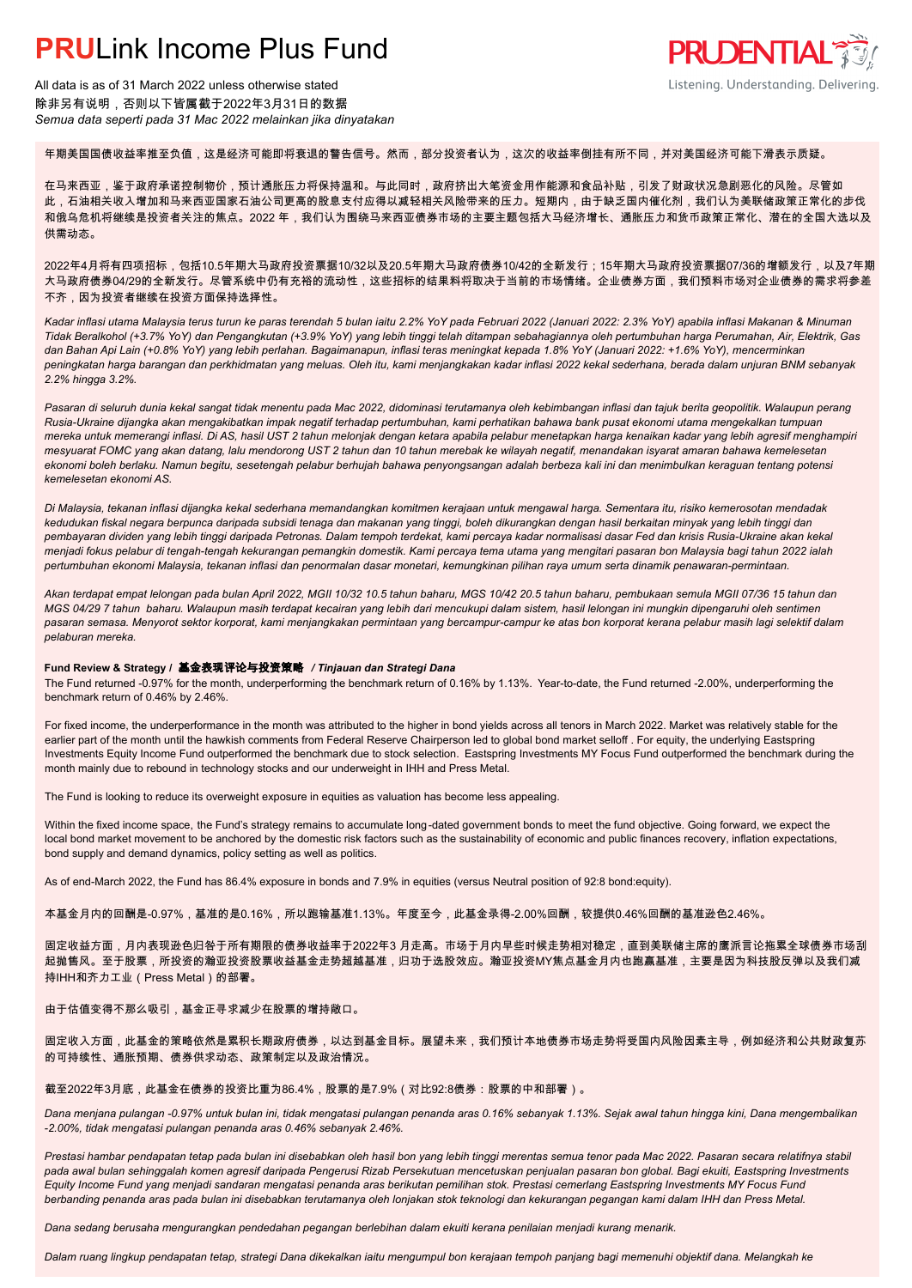All data is as of 31 March 2022 unless otherwise stated 除非另有说明,否则以下皆属截于2022年3月31日的数据 *Semua data seperti pada 31 Mac 2022 melainkan jika dinyatakan*

### 年期美国国债收益率推至负值,这是经济可能即将衰退的警告信号。然而,部分投资者认为,这次的收益率倒挂有所不同,并对美国经济可能下滑表示质疑。

在马来西亚,鉴于政府承诺控制物价,预计通胀压力将保持温和。与此同时,政府挤出大笔资金用作能源和食品补贴,引发了财政状况急剧恶化的风险。尽管如 此,石油相关收入增加和马来西亚国家石油公司更高的股息支付应得以减轻相关风险带来的压力。短期内,由于缺乏国内催化剂,我们认为美联储政策正常化的步伐 和俄乌危机将继续是投资者关注的焦点。2022 年,我们认为围绕马来西亚债券市场的主要主题包括大马经济增长、通胀压力和货币政策正常化、潜在的全国大选以及 供需动态。

**PRUDENTIAL** 

Listening. Understanding. Delivering.

2022年4月将有四项招标,包括10.5年期大马政府投资票据10/32以及20.5年期大马政府债券10/42的全新发行;15年期大马政府投资票据07/36的增额发行,以及7年期 大马政府债券04/29的全新发行。尽管系统中仍有充裕的流动性,这些招标的结果料将取决于当前的市场情绪。企业债券方面,我们预料市场对企业债券的需求将参差 不齐,因为投资者继续在投资方面保持选择性。

*Kadar inflasi utama Malaysia terus turun ke paras terendah 5 bulan iaitu 2.2% YoY pada Februari 2022 (Januari 2022: 2.3% YoY) apabila inflasi Makanan & Minuman Tidak Beralkohol (+3.7% YoY) dan Pengangkutan (+3.9% YoY) yang lebih tinggi telah ditampan sebahagiannya oleh pertumbuhan harga Perumahan, Air, Elektrik, Gas dan Bahan Api Lain (+0.8% YoY) yang lebih perlahan. Bagaimanapun, inflasi teras meningkat kepada 1.8% YoY (Januari 2022: +1.6% YoY), mencerminkan peningkatan harga barangan dan perkhidmatan yang meluas. Oleh itu, kami menjangkakan kadar inflasi 2022 kekal sederhana, berada dalam unjuran BNM sebanyak 2.2% hingga 3.2%.*

*Pasaran di seluruh dunia kekal sangat tidak menentu pada Mac 2022, didominasi terutamanya oleh kebimbangan inflasi dan tajuk berita geopolitik. Walaupun perang Rusia-Ukraine dijangka akan mengakibatkan impak negatif terhadap pertumbuhan, kami perhatikan bahawa bank pusat ekonomi utama mengekalkan tumpuan mereka untuk memerangi inflasi. Di AS, hasil UST 2 tahun melonjak dengan ketara apabila pelabur menetapkan harga kenaikan kadar yang lebih agresif menghampiri mesyuarat FOMC yang akan datang, lalu mendorong UST 2 tahun dan 10 tahun merebak ke wilayah negatif, menandakan isyarat amaran bahawa kemelesetan ekonomi boleh berlaku. Namun begitu, sesetengah pelabur berhujah bahawa penyongsangan adalah berbeza kali ini dan menimbulkan keraguan tentang potensi kemelesetan ekonomi AS.*

*Di Malaysia, tekanan inflasi dijangka kekal sederhana memandangkan komitmen kerajaan untuk mengawal harga. Sementara itu, risiko kemerosotan mendadak kedudukan fiskal negara berpunca daripada subsidi tenaga dan makanan yang tinggi, boleh dikurangkan dengan hasil berkaitan minyak yang lebih tinggi dan pembayaran dividen yang lebih tinggi daripada Petronas. Dalam tempoh terdekat, kami percaya kadar normalisasi dasar Fed dan krisis Rusia-Ukraine akan kekal menjadi fokus pelabur di tengah-tengah kekurangan pemangkin domestik. Kami percaya tema utama yang mengitari pasaran bon Malaysia bagi tahun 2022 ialah pertumbuhan ekonomi Malaysia, tekanan inflasi dan penormalan dasar monetari, kemungkinan pilihan raya umum serta dinamik penawaran-permintaan.*

*Akan terdapat empat lelongan pada bulan April 2022, MGII 10/32 10.5 tahun baharu, MGS 10/42 20.5 tahun baharu, pembukaan semula MGII 07/36 15 tahun dan MGS 04/29 7 tahun baharu. Walaupun masih terdapat kecairan yang lebih dari mencukupi dalam sistem, hasil lelongan ini mungkin dipengaruhi oleh sentimen pasaran semasa. Menyorot sektor korporat, kami menjangkakan permintaan yang bercampur-campur ke atas bon korporat kerana pelabur masih lagi selektif dalam pelaburan mereka.*

### **Fund Review & Strategy /** 基金表现评论与投资策略 */ Tinjauan dan Strategi Dana*

The Fund returned -0.97% for the month, underperforming the benchmark return of 0.16% by 1.13%. Year-to-date, the Fund returned -2.00%, underperforming the *.* benchmark return of 0.46% by 2.46%.

For fixed income, the underperformance in the month was attributed to the higher in bond yields across all tenors in March 2022. Market was relatively stable for the earlier part of the month until the hawkish comments from Federal Reserve Chairperson led to global bond market selloff . For equity, the underlying Eastspring Investments Equity Income Fund outperformed the benchmark due to stock selection. Eastspring Investments MY Focus Fund outperformed the benchmark during the month mainly due to rebound in technology stocks and our underweight in IHH and Press Metal.

The Fund is looking to reduce its overweight exposure in equities as valuation has become less appealing.

Within the fixed income space, the Fund's strategy remains to accumulate long-dated government bonds to meet the fund objective. Going forward, we expect the local bond market movement to be anchored by the domestic risk factors such as the sustainability of economic and public finances recovery, inflation expectations, bond supply and demand dynamics, policy setting as well as politics.

As of end-March 2022, the Fund has 86.4% exposure in bonds and 7.9% in equities (versus Neutral position of 92:8 bond:equity).

本基金月内的回酬是-0.97%,基准的是0.16%,所以跑输基准1.13%。年度至今,此基金录得-2.00%回酬,较提供0.46%回酬的基准逊色2.46%。

固定收益方面,月内表现逊色归咎于所有期限的债券收益率于2022年3 月走高。市场于月内早些时候走势相对稳定,直到美联储主席的鹰派言论拖累全球债券市场刮 起抛售风。至于股票,所投资的瀚亚投资股票收益基金走势超越基准,归功于选股效应。瀚亚投资MY焦点基金月内也跑赢基准,主要是因为科技股反弹以及我们减 持IHH和齐力工业(Press Metal)的部署。

#### 由于估值变得不那么吸引,基金正寻求减少在股票的增持敞口。

### 固定收入方面,此基金的策略依然是累积长期政府债券,以达到基金目标。展望未来,我们预计本地债券市场走势将受国内风险因素主导,例如经济和公共财政复苏 的可持续性、通胀预期、债券供求动态、政策制定以及政治情况。

截至2022年3月底,此基金在债券的投资比重为86.4%,股票的是7.9%(对比92:8债券:股票的中和部署)。

*Dana menjana pulangan -0.97% untuk bulan ini, tidak mengatasi pulangan penanda aras 0.16% sebanyak 1.13%. Sejak awal tahun hingga kini, Dana mengembalikan -2.00%, tidak mengatasi pulangan penanda aras 0.46% sebanyak 2.46%.*

*Prestasi hambar pendapatan tetap pada bulan ini disebabkan oleh hasil bon yang lebih tinggi merentas semua tenor pada Mac 2022. Pasaran secara relatifnya stabil pada awal bulan sehinggalah komen agresif daripada Pengerusi Rizab Persekutuan mencetuskan penjualan pasaran bon global. Bagi ekuiti, Eastspring Investments Equity Income Fund yang menjadi sandaran mengatasi penanda aras berikutan pemilihan stok. Prestasi cemerlang Eastspring Investments MY Focus Fund berbanding penanda aras pada bulan ini disebabkan terutamanya oleh lonjakan stok teknologi dan kekurangan pegangan kami dalam IHH dan Press Metal.*

*Dana sedang berusaha mengurangkan pendedahan pegangan berlebihan dalam ekuiti kerana penilaian menjadi kurang menarik.*

*Dalam ruang lingkup pendapatan tetap, strategi Dana dikekalkan iaitu mengumpul bon kerajaan tempoh panjang bagi memenuhi objektif dana. Melangkah ke*